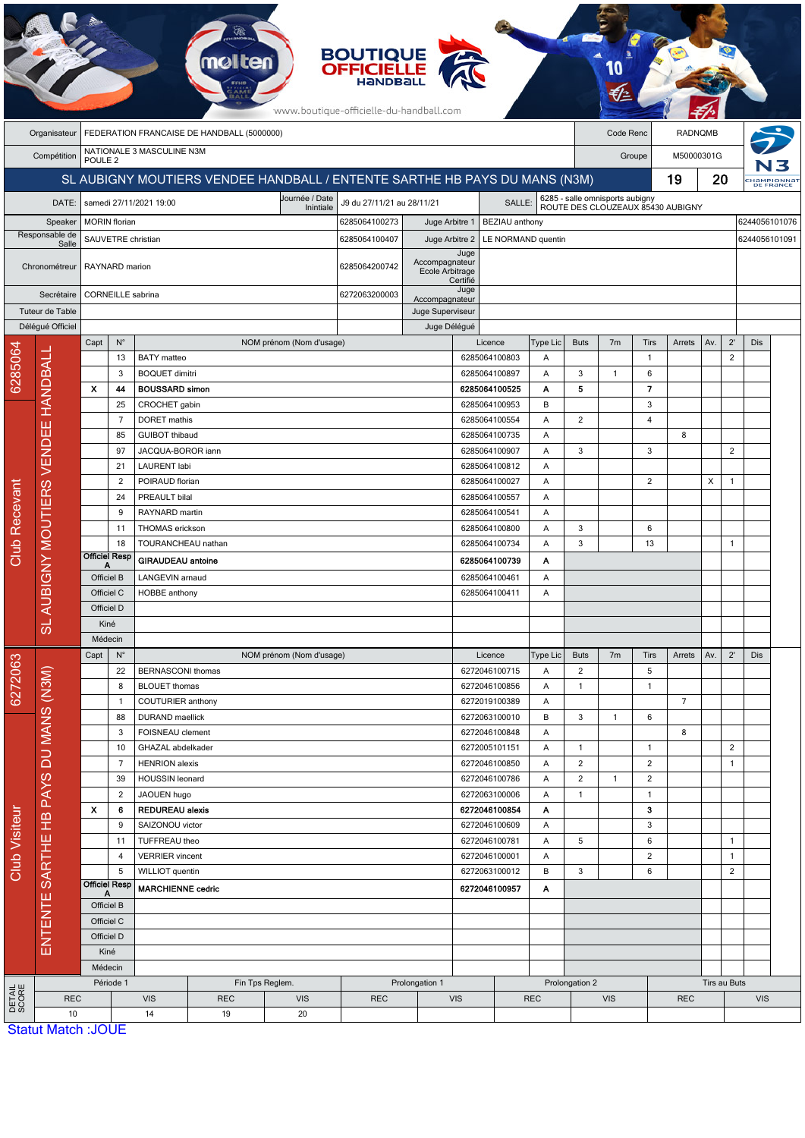|                        | <b>BOUTIQUE</b><br><b>OFFICIELLE</b><br>www.boutique-officielle-du-handball.com |                                                 |                           |                                          |                                      |                          |                                                                            |                                      |               |                                |                                                                      |                |                |                |                |               |                               |     |  |  |  |
|------------------------|---------------------------------------------------------------------------------|-------------------------------------------------|---------------------------|------------------------------------------|--------------------------------------|--------------------------|----------------------------------------------------------------------------|--------------------------------------|---------------|--------------------------------|----------------------------------------------------------------------|----------------|----------------|----------------|----------------|---------------|-------------------------------|-----|--|--|--|
|                        | Organisateur                                                                    | FEDERATION FRANCAISE DE HANDBALL (5000000)      |                           |                                          |                                      |                          |                                                                            |                                      |               |                                |                                                                      |                | Code Renc      |                | <b>RADNQMB</b> |               |                               |     |  |  |  |
|                        | Compétition                                                                     | NATIONALE 3 MASCULINE N3M<br>POULE <sub>2</sub> |                           |                                          |                                      |                          |                                                                            |                                      |               |                                |                                                                      |                | Groupe         | M50000301G     |                |               |                               |     |  |  |  |
|                        |                                                                                 |                                                 |                           |                                          |                                      |                          | SL AUBIGNY MOUTIERS VENDEE HANDBALL / ENTENTE SARTHE HB PAYS DU MANS (N3M) |                                      |               |                                |                                                                      | 19             |                |                |                |               | 20<br>HaMPIONNAT<br>DE FRANCE |     |  |  |  |
|                        | DATE:                                                                           |                                                 |                           | samedi 27/11/2021 19:00                  |                                      | Journée / Date           | J9 du 27/11/21 au 28/11/21                                                 |                                      |               | SALLE:                         |                                                                      |                |                |                |                |               |                               |     |  |  |  |
|                        | Speaker                                                                         |                                                 | <b>MORIN</b> florian      |                                          |                                      | Inintiale                | 6285064100273<br>Juge Arbitre 1<br>BEZIAU anthony                          |                                      |               |                                | 6285 - salle omnisports aubigny<br>ROUTE DES CLOUZEAUX 85430 AUBIGNY |                |                |                |                |               | 6244056101076                 |     |  |  |  |
| Responsable de         |                                                                                 |                                                 |                           | SAUVETRE christian                       |                                      | 6285064100407            |                                                                            | Juge Arbitre 2<br>LE NORMAND quentin |               |                                |                                                                      |                |                |                |                | 6244056101091 |                               |     |  |  |  |
| Salle<br>Chronométreur |                                                                                 |                                                 |                           |                                          |                                      |                          |                                                                            |                                      | Juge          |                                |                                                                      |                |                |                |                |               |                               |     |  |  |  |
|                        |                                                                                 | RAYNARD marion                                  |                           |                                          |                                      |                          | 6285064200742                                                              | Accompagnateur<br>Ecole Arbitrage    |               |                                |                                                                      |                |                |                |                |               |                               |     |  |  |  |
|                        | Secrétaire                                                                      |                                                 |                           | CORNEILLE sabrina                        |                                      | 6272063200003            |                                                                            | Certifié<br>Juge                     |               |                                |                                                                      |                |                |                |                |               |                               |     |  |  |  |
|                        | Tuteur de Table                                                                 |                                                 |                           |                                          |                                      |                          |                                                                            | Accompagnateur<br>Juge Superviseur   |               |                                |                                                                      |                |                |                |                |               |                               |     |  |  |  |
|                        | Déléqué Officiel                                                                |                                                 |                           |                                          | Juge Délégué                         |                          |                                                                            |                                      |               |                                |                                                                      |                |                |                |                |               |                               |     |  |  |  |
|                        |                                                                                 | Capt                                            | $N^{\circ}$               |                                          |                                      | NOM prénom (Nom d'usage) |                                                                            |                                      |               | Licence                        | Type Lic                                                             | <b>Buts</b>    | 7 <sub>m</sub> | Tirs           | Arrets         | Av.           | $2^{\prime}$                  | Dis |  |  |  |
| 6285064                | HANDBALL                                                                        |                                                 | 13                        | <b>BATY</b> matteo                       |                                      |                          |                                                                            |                                      |               | 6285064100803                  | Α                                                                    |                |                | $\overline{1}$ |                |               | $\overline{2}$                |     |  |  |  |
|                        |                                                                                 |                                                 | 3                         | <b>BOQUET dimitri</b>                    |                                      |                          |                                                                            |                                      |               | 6285064100897                  | Α                                                                    | $\sqrt{3}$     | 1              | 6              |                |               |                               |     |  |  |  |
|                        |                                                                                 | $\boldsymbol{\mathsf{x}}$                       | 44                        | <b>BOUSSARD simon</b>                    |                                      |                          |                                                                            |                                      |               | 6285064100525                  | Α                                                                    | 5              |                | $\overline{7}$ |                |               |                               |     |  |  |  |
|                        |                                                                                 |                                                 | 25                        | CROCHET gabin                            |                                      |                          |                                                                            |                                      |               | 6285064100953                  | В                                                                    |                |                | 3              |                |               |                               |     |  |  |  |
|                        |                                                                                 |                                                 | $\overline{7}$            | DORET mathis                             |                                      |                          |                                                                            |                                      |               | 6285064100554                  | Α                                                                    | $\overline{2}$ |                | 4              |                |               |                               |     |  |  |  |
|                        |                                                                                 |                                                 | 85                        | <b>GUIBOT</b> thibaud                    |                                      |                          |                                                                            |                                      |               | 6285064100735                  | Α                                                                    |                |                |                | 8              |               |                               |     |  |  |  |
|                        |                                                                                 |                                                 | 97<br>21                  | JACQUA-BOROR iann<br><b>LAURENT</b> labi |                                      |                          |                                                                            |                                      |               | 6285064100907<br>6285064100812 | Α<br>Α                                                               | 3              |                | 3              |                |               | $\overline{2}$                |     |  |  |  |
|                        |                                                                                 | 2                                               |                           | POIRAUD florian                          |                                      |                          |                                                                            |                                      |               |                                | Α                                                                    |                |                | $\overline{2}$ |                | Χ             | 1                             |     |  |  |  |
|                        |                                                                                 |                                                 | 24                        | PREAULT bilal                            |                                      |                          |                                                                            | 6285064100027<br>6285064100557       |               | Α                              |                                                                      |                |                |                |                |               |                               |     |  |  |  |
|                        |                                                                                 |                                                 | 9                         | RAYNARD martin                           |                                      |                          |                                                                            |                                      |               | 6285064100541                  | Α                                                                    |                |                |                |                |               |                               |     |  |  |  |
|                        | <b>BIGNY MOUTIERS VENDEE</b>                                                    |                                                 | 11                        | THOMAS erickson                          |                                      |                          |                                                                            |                                      |               | 6285064100800                  | Α                                                                    | 3              |                | 6              |                |               |                               |     |  |  |  |
|                        |                                                                                 |                                                 | 18                        | TOURANCHEAU nathan                       |                                      |                          |                                                                            |                                      |               | 6285064100734                  | Α                                                                    | 3              |                | 13             |                |               | $\mathbf{1}$                  |     |  |  |  |
| Club Recevant          |                                                                                 | <b>Officiel Resp</b>                            |                           | <b>GIRAUDEAU</b> antoine                 |                                      |                          |                                                                            |                                      |               | 6285064100739                  | Α                                                                    |                |                |                |                |               |                               |     |  |  |  |
|                        |                                                                                 | А<br>Officiel B                                 |                           | <b>LANGEVIN arnaud</b>                   |                                      |                          |                                                                            |                                      | 6285064100461 | Α                              |                                                                      |                |                |                |                |               |                               |     |  |  |  |
|                        | ⊃<br>SLA                                                                        | Officiel C                                      |                           | <b>HOBBE</b> anthony                     |                                      |                          |                                                                            |                                      | 6285064100411 | Α                              |                                                                      |                |                |                |                |               |                               |     |  |  |  |
|                        |                                                                                 | Officiel D                                      |                           |                                          |                                      |                          |                                                                            |                                      |               |                                |                                                                      |                |                |                |                |               |                               |     |  |  |  |
|                        |                                                                                 | Kiné                                            |                           |                                          |                                      |                          |                                                                            |                                      |               |                                |                                                                      |                |                |                |                |               |                               |     |  |  |  |
|                        |                                                                                 | Médecin                                         |                           |                                          |                                      |                          |                                                                            |                                      |               |                                |                                                                      |                |                |                |                |               |                               |     |  |  |  |
|                        | ENTENTE SARTHE HB PAYS DU MANS (N3M)                                            | Capt                                            | $\mathsf{N}^\circ$        |                                          |                                      | NOM prénom (Nom d'usage) |                                                                            |                                      |               | Licence                        | Type Lic                                                             | <b>Buts</b>    | 7 <sub>m</sub> | Tirs           | Arrets         | Av.           | $2^{\prime}$                  | Dis |  |  |  |
| 6272063                |                                                                                 |                                                 | 22                        | <b>BERNASCONI</b> thomas                 |                                      |                          |                                                                            |                                      |               | 6272046100715                  | Α                                                                    | $\overline{2}$ |                | 5              |                |               |                               |     |  |  |  |
|                        |                                                                                 |                                                 | 8                         | <b>BLOUET</b> thomas                     |                                      |                          |                                                                            |                                      |               | 6272046100856                  | Α                                                                    | $\mathbf{1}$   |                | $\mathbf{1}$   |                |               |                               |     |  |  |  |
|                        |                                                                                 |                                                 | $\mathbf{1}$              |                                          | COUTURIER anthony<br>DURAND maellick |                          |                                                                            |                                      |               | 6272019100389                  | A                                                                    |                |                |                | $\overline{7}$ |               |                               |     |  |  |  |
|                        |                                                                                 |                                                 | 88<br>3                   |                                          |                                      |                          |                                                                            |                                      |               | 6272063100010                  | В<br>Α                                                               | 3              | 1              | 6              | 8              |               |                               |     |  |  |  |
|                        |                                                                                 |                                                 | 10                        | FOISNEAU clement<br>GHAZAL abdelkader    |                                      |                          |                                                                            |                                      |               | 6272046100848<br>6272005101151 | Α                                                                    | 1              |                | $\mathbf{1}$   |                |               | $\overline{2}$                |     |  |  |  |
|                        |                                                                                 |                                                 | $\overline{7}$            | <b>HENRION</b> alexis                    |                                      |                          |                                                                            |                                      |               | 6272046100850                  | Α                                                                    | $\overline{2}$ |                | $\overline{2}$ |                |               | $\mathbf{1}$                  |     |  |  |  |
|                        |                                                                                 |                                                 | 39                        | HOUSSIN leonard                          |                                      |                          |                                                                            |                                      |               | 6272046100786                  | A                                                                    | $\overline{2}$ | $\mathbf{1}$   | $\overline{2}$ |                |               |                               |     |  |  |  |
|                        |                                                                                 |                                                 | $\overline{c}$            | JAOUEN hugo                              |                                      |                          | 6272063100006                                                              |                                      | Α             | $\mathbf{1}$                   |                                                                      | $\mathbf{1}$   |                |                |                |               |                               |     |  |  |  |
|                        |                                                                                 | $\boldsymbol{\mathsf{x}}$                       | 6                         | <b>REDUREAU alexis</b>                   |                                      |                          |                                                                            |                                      |               | 6272046100854                  | A                                                                    |                |                | 3              |                |               |                               |     |  |  |  |
|                        |                                                                                 |                                                 | 9<br>SAIZONOU victor      |                                          |                                      | 6272046100609            |                                                                            | Α                                    |               |                                | $\sqrt{3}$                                                           |                |                |                |                |               |                               |     |  |  |  |
| Club Visiteur          |                                                                                 |                                                 | 11                        | TUFFREAU theo                            |                                      |                          |                                                                            |                                      |               | 6272046100781                  | Α                                                                    | 5              |                | 6              |                |               | $\mathbf{1}$                  |     |  |  |  |
|                        |                                                                                 |                                                 | $\overline{4}$            | <b>VERRIER</b> vincent                   |                                      |                          |                                                                            |                                      |               | 6272046100001                  | Α                                                                    |                |                | $\overline{2}$ |                |               | $\mathbf{1}$                  |     |  |  |  |
|                        |                                                                                 |                                                 | 5                         | WILLIOT quentin                          |                                      |                          |                                                                            |                                      |               | 6272063100012                  | В                                                                    | $\sqrt{3}$     |                | 6              |                |               | $\overline{2}$                |     |  |  |  |
|                        |                                                                                 |                                                 | <b>Officiel Resp</b><br>A | <b>MARCHIENNE cedric</b>                 |                                      |                          |                                                                            |                                      |               | 6272046100957<br>Α             |                                                                      |                |                |                |                |               |                               |     |  |  |  |
|                        |                                                                                 | Officiel B                                      |                           |                                          |                                      |                          |                                                                            |                                      |               |                                |                                                                      |                |                |                |                |               |                               |     |  |  |  |
|                        |                                                                                 | Officiel C                                      |                           |                                          |                                      |                          |                                                                            |                                      |               |                                |                                                                      |                |                |                |                |               |                               |     |  |  |  |
|                        |                                                                                 | Officiel D                                      |                           |                                          |                                      |                          |                                                                            |                                      |               |                                |                                                                      |                |                |                |                |               |                               |     |  |  |  |
|                        |                                                                                 |                                                 | Kiné                      |                                          |                                      |                          |                                                                            |                                      |               |                                |                                                                      |                |                |                |                |               |                               |     |  |  |  |
|                        |                                                                                 |                                                 | Médecin                   |                                          | Fin Tps Reglem.                      |                          |                                                                            |                                      |               |                                |                                                                      | Prolongation 2 |                |                |                | Tirs au Buts  |                               |     |  |  |  |
| DETAIL<br>SCORE        | <b>REC</b>                                                                      | Période 1                                       |                           | <b>VIS</b>                               | <b>REC</b>                           | <b>VIS</b>               | <b>REC</b>                                                                 | Prolongation 1<br><b>VIS</b>         |               | <b>REC</b>                     |                                                                      |                | <b>VIS</b>     |                | <b>REC</b>     |               | <b>VIS</b>                    |     |  |  |  |
|                        | 10                                                                              |                                                 |                           | 14                                       | 19                                   | 20                       |                                                                            |                                      |               |                                |                                                                      |                |                |                |                |               |                               |     |  |  |  |
|                        | <b>Statut Match: JOUE</b>                                                       |                                                 |                           |                                          |                                      |                          |                                                                            |                                      |               |                                |                                                                      |                |                |                |                |               |                               |     |  |  |  |